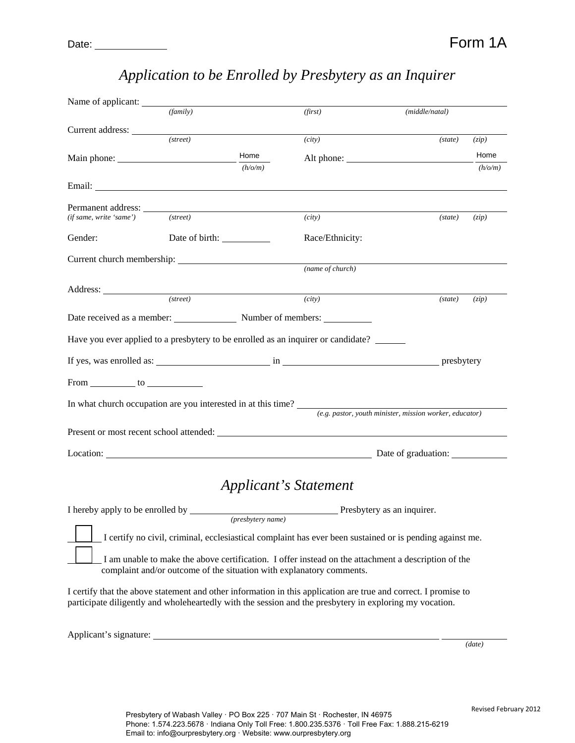| Name of applicant:                  |                                                                                                                                                                                                                                      |                            |                                                           |         |
|-------------------------------------|--------------------------------------------------------------------------------------------------------------------------------------------------------------------------------------------------------------------------------------|----------------------------|-----------------------------------------------------------|---------|
|                                     | (family)                                                                                                                                                                                                                             | (first)                    | (middle/natal)                                            |         |
|                                     |                                                                                                                                                                                                                                      |                            |                                                           |         |
|                                     | (street)                                                                                                                                                                                                                             | (city)                     | (state)                                                   | (zip)   |
|                                     | Home                                                                                                                                                                                                                                 | Alt phone:                 |                                                           | Home    |
|                                     | (h/o/m)                                                                                                                                                                                                                              |                            |                                                           | (h/o/m) |
|                                     | Email: <u>Constantino and Constantino and Constantino and Constantino and Constantino and Constantino and Constantino and Constantino and Constantino and Constantino and Constantino and Constantino and Constantino and Consta</u> |                            |                                                           |         |
|                                     |                                                                                                                                                                                                                                      |                            |                                                           |         |
| (if same, write 'same')             | (street)                                                                                                                                                                                                                             | (city)                     | (state)                                                   | (zip)   |
| Gender:                             |                                                                                                                                                                                                                                      | Race/Ethnicity:            |                                                           |         |
|                                     |                                                                                                                                                                                                                                      |                            |                                                           |         |
|                                     |                                                                                                                                                                                                                                      | (name of church)           |                                                           |         |
|                                     |                                                                                                                                                                                                                                      |                            |                                                           |         |
|                                     | $(\text{street})$                                                                                                                                                                                                                    | (city)                     | (state)                                                   | (zip)   |
|                                     | Date received as a member: Number of members:                                                                                                                                                                                        |                            |                                                           |         |
|                                     | Have you ever applied to a presbytery to be enrolled as an inquirer or candidate?                                                                                                                                                    |                            |                                                           |         |
|                                     |                                                                                                                                                                                                                                      |                            |                                                           |         |
| From $\_\_\_\_$ to $\_\_\_\_\_\_\_$ |                                                                                                                                                                                                                                      |                            |                                                           |         |
|                                     | In what church occupation are you interested in at this time?                                                                                                                                                                        |                            |                                                           |         |
|                                     |                                                                                                                                                                                                                                      |                            | $(e.g.$ pastor, youth minister, mission worker, educator) |         |
|                                     | Present or most recent school attended:                                                                                                                                                                                              |                            |                                                           |         |
|                                     | Location: Date of graduation:                                                                                                                                                                                                        |                            |                                                           |         |
|                                     |                                                                                                                                                                                                                                      |                            |                                                           |         |
|                                     |                                                                                                                                                                                                                                      | Applicant's Statement      |                                                           |         |
| I hereby apply to be enrolled by    | (presbytery name)                                                                                                                                                                                                                    | Presbytery as an inquirer. |                                                           |         |
|                                     | I certify no civil, criminal, ecclesiastical complaint has ever been sustained or is pending against me.                                                                                                                             |                            |                                                           |         |
|                                     | I am unable to make the above certification. I offer instead on the attachment a description of the                                                                                                                                  |                            |                                                           |         |
|                                     | complaint and/or outcome of the situation with explanatory comments.                                                                                                                                                                 |                            |                                                           |         |
|                                     | I certify that the above statement and other information in this application are true and correct. I promise to                                                                                                                      |                            |                                                           |         |
|                                     | participate diligently and wholeheartedly with the session and the presbytery in exploring my vocation.                                                                                                                              |                            |                                                           |         |

# *Application to be Enrolled by Presbytery as an Inquirer*

Applicant's signature:

*(date)*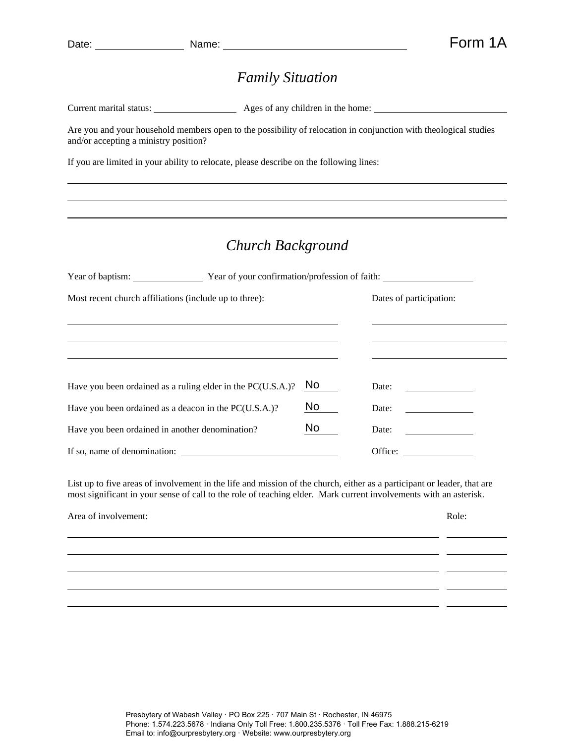l

l

## *Family Situation*

| Ages of any children in the home: |
|-----------------------------------|
|                                   |

Are you and your household members open to the possibility of relocation in conjunction with theological studies and/or accepting a ministry position?

If you are limited in your ability to relocate, please describe on the following lines:

## *Church Background*

|                                                             |     | Year of baptism: Year of your confirmation/profession of faith: |                                                                                                                      |  |  |
|-------------------------------------------------------------|-----|-----------------------------------------------------------------|----------------------------------------------------------------------------------------------------------------------|--|--|
| Most recent church affiliations (include up to three):      |     | Dates of participation:                                         |                                                                                                                      |  |  |
|                                                             |     |                                                                 |                                                                                                                      |  |  |
| Have you been ordained as a ruling elder in the PC(U.S.A.)? | No. | Date:                                                           | <u> 1989 - Jan Stein Stein Stein Stein Stein Stein Stein Stein Stein Stein Stein Stein Stein Stein Stein Stein S</u> |  |  |
| Have you been ordained as a deacon in the PC(U.S.A.)?       | No  | Date:                                                           |                                                                                                                      |  |  |
| Have you been ordained in another denomination?             | No  | Date:                                                           |                                                                                                                      |  |  |
| If so, name of denomination:                                |     |                                                                 | Office:                                                                                                              |  |  |

List up to five areas of involvement in the life and mission of the church, either as a participant or leader, that are most significant in your sense of call to the role of teaching elder. Mark current involvements with an asterisk.

<u> 1989 - Johann Stoff, deutscher Stoff, der Stoff, der Stoff, der Stoff, der Stoff, der Stoff, der Stoff, der S</u>

Area of involvement:  $\Box$ 

l

 $\overline{\phantom{a}}$  and  $\overline{\phantom{a}}$ 

<u>and</u> a <u>contract of the contract</u>

 $\overline{a}$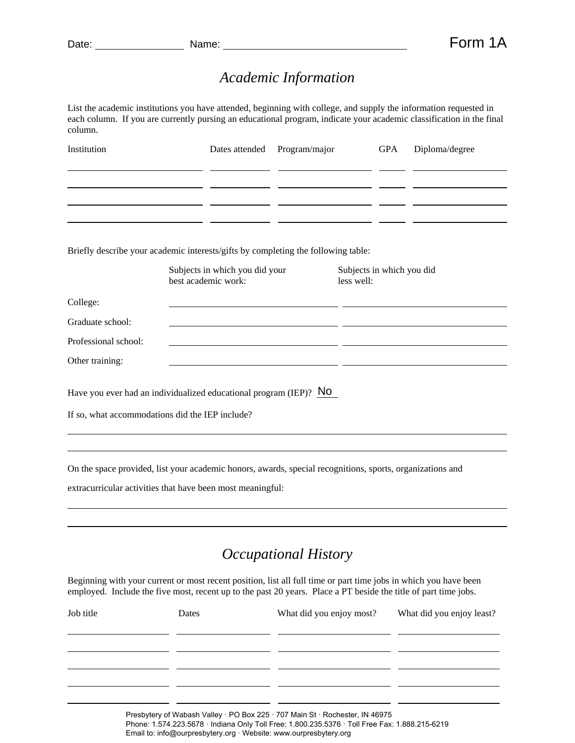l l

#### *Academic Information*

List the academic institutions you have attended, beginning with college, and supply the information requested in each column. If you are currently pursing an educational program, indicate your academic classification in the final column.

| Institution                                                                       | Dates attended                                        | Program/major | <b>GPA</b>                              | Diploma/degree |
|-----------------------------------------------------------------------------------|-------------------------------------------------------|---------------|-----------------------------------------|----------------|
|                                                                                   |                                                       |               |                                         |                |
|                                                                                   |                                                       |               |                                         |                |
|                                                                                   |                                                       |               |                                         |                |
| Briefly describe your academic interests/gifts by completing the following table: | Subjects in which you did your<br>best academic work: |               | Subjects in which you did<br>less well: |                |
| College:                                                                          |                                                       |               |                                         |                |
| Graduate school:                                                                  |                                                       |               |                                         |                |
| Professional school:                                                              |                                                       |               |                                         |                |
| Other training:                                                                   |                                                       |               |                                         |                |
| Have you ever had an individualized educational program (IEP)? NO                 |                                                       |               |                                         |                |
| If so, what accommodations did the IEP include?                                   |                                                       |               |                                         |                |
|                                                                                   |                                                       |               |                                         |                |

On the space provided, list your academic honors, awards, special recognitions, sports, organizations and

extracurricular activities that have been most meaningful:

## *Occupational History*

Beginning with your current or most recent position, list all full time or part time jobs in which you have been employed. Include the five most, recent up to the past 20 years. Place a PT beside the title of part time jobs.

| Job title | Dates | What did you enjoy most?                                                                                                                                            | What did you enjoy least? |  |
|-----------|-------|---------------------------------------------------------------------------------------------------------------------------------------------------------------------|---------------------------|--|
|           |       |                                                                                                                                                                     |                           |  |
|           |       |                                                                                                                                                                     |                           |  |
|           |       | Presbytery of Wabash Valley · PO Box 225 · 707 Main St · Rochester, IN 46975                                                                                        |                           |  |
|           |       | Phone: 1.574.223.5678 · Indiana Only Toll Free: 1.800.235.5376 · Toll Free Fax: 1.888.215-6219<br>Email to: info@ourpresbytery.org · Website: www.ourpresbytery.org |                           |  |